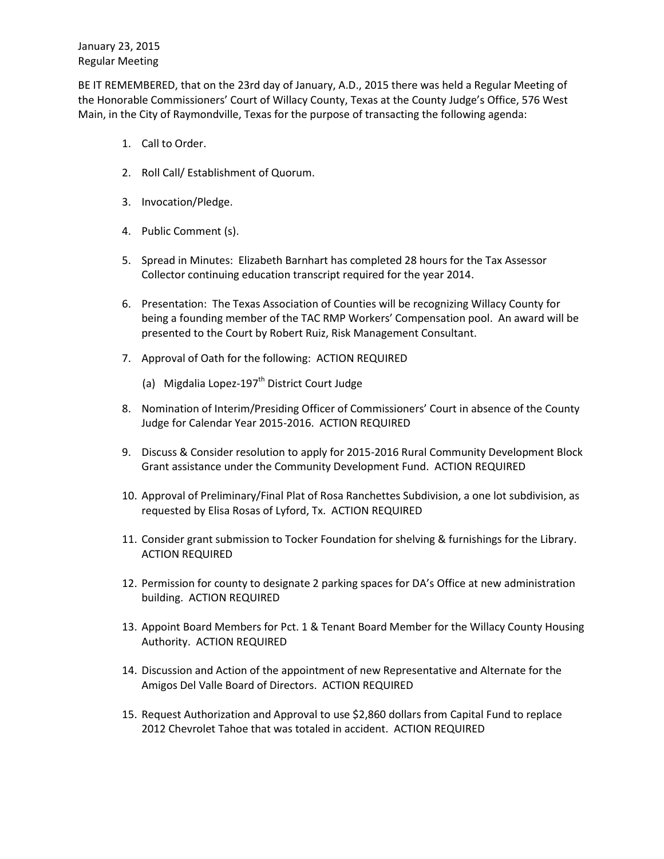BE IT REMEMBERED, that on the 23rd day of January, A.D., 2015 there was held a Regular Meeting of the Honorable Commissioners' Court of Willacy County, Texas at the County Judge's Office, 576 West Main, in the City of Raymondville, Texas for the purpose of transacting the following agenda:

- 1. Call to Order.
- 2. Roll Call/ Establishment of Quorum.
- 3. Invocation/Pledge.
- 4. Public Comment (s).
- 5. Spread in Minutes: Elizabeth Barnhart has completed 28 hours for the Tax Assessor Collector continuing education transcript required for the year 2014.
- 6. Presentation: The Texas Association of Counties will be recognizing Willacy County for being a founding member of the TAC RMP Workers' Compensation pool. An award will be presented to the Court by Robert Ruiz, Risk Management Consultant.
- 7. Approval of Oath for the following: ACTION REQUIRED
	- (a) Migdalia Lopez-197<sup>th</sup> District Court Judge
- 8. Nomination of Interim/Presiding Officer of Commissioners' Court in absence of the County Judge for Calendar Year 2015-2016. ACTION REQUIRED
- 9. Discuss & Consider resolution to apply for 2015-2016 Rural Community Development Block Grant assistance under the Community Development Fund. ACTION REQUIRED
- 10. Approval of Preliminary/Final Plat of Rosa Ranchettes Subdivision, a one lot subdivision, as requested by Elisa Rosas of Lyford, Tx. ACTION REQUIRED
- 11. Consider grant submission to Tocker Foundation for shelving & furnishings for the Library. ACTION REQUIRED
- 12. Permission for county to designate 2 parking spaces for DA's Office at new administration building. ACTION REQUIRED
- 13. Appoint Board Members for Pct. 1 & Tenant Board Member for the Willacy County Housing Authority. ACTION REQUIRED
- 14. Discussion and Action of the appointment of new Representative and Alternate for the Amigos Del Valle Board of Directors. ACTION REQUIRED
- 15. Request Authorization and Approval to use \$2,860 dollars from Capital Fund to replace 2012 Chevrolet Tahoe that was totaled in accident. ACTION REQUIRED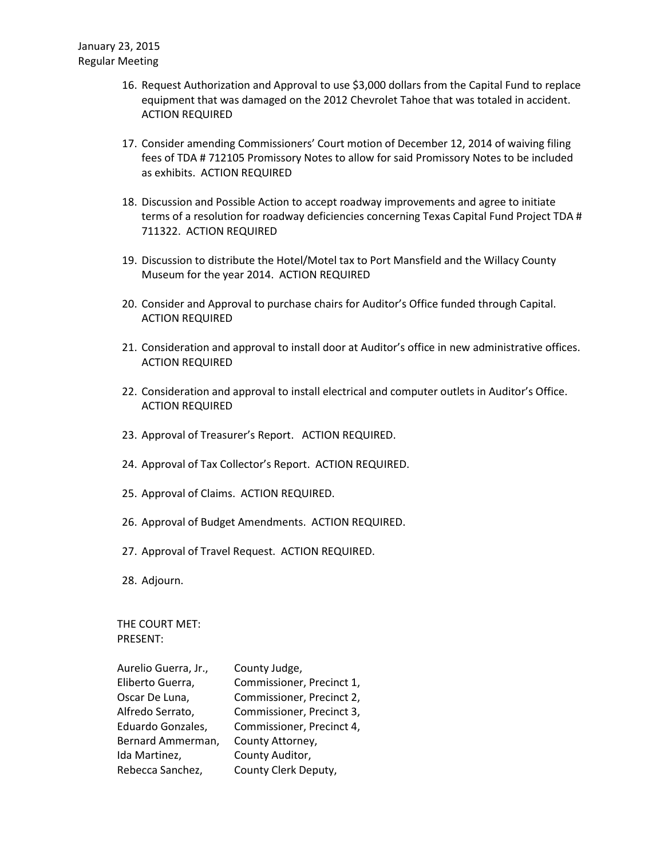- 16. Request Authorization and Approval to use \$3,000 dollars from the Capital Fund to replace equipment that was damaged on the 2012 Chevrolet Tahoe that was totaled in accident. ACTION REQUIRED
- 17. Consider amending Commissioners' Court motion of December 12, 2014 of waiving filing fees of TDA # 712105 Promissory Notes to allow for said Promissory Notes to be included as exhibits. ACTION REQUIRED
- 18. Discussion and Possible Action to accept roadway improvements and agree to initiate terms of a resolution for roadway deficiencies concerning Texas Capital Fund Project TDA # 711322. ACTION REQUIRED
- 19. Discussion to distribute the Hotel/Motel tax to Port Mansfield and the Willacy County Museum for the year 2014. ACTION REQUIRED
- 20. Consider and Approval to purchase chairs for Auditor's Office funded through Capital. ACTION REQUIRED
- 21. Consideration and approval to install door at Auditor's office in new administrative offices. ACTION REQUIRED
- 22. Consideration and approval to install electrical and computer outlets in Auditor's Office. ACTION REQUIRED
- 23. Approval of Treasurer's Report. ACTION REQUIRED.
- 24. Approval of Tax Collector's Report. ACTION REQUIRED.
- 25. Approval of Claims. ACTION REQUIRED.
- 26. Approval of Budget Amendments. ACTION REQUIRED.
- 27. Approval of Travel Request. ACTION REQUIRED.
- 28. Adjourn.

THE COURT MET: PRESENT:

| County Judge,             |
|---------------------------|
| Commissioner, Precinct 1, |
| Commissioner, Precinct 2, |
| Commissioner, Precinct 3, |
| Commissioner, Precinct 4, |
| County Attorney,          |
| County Auditor,           |
| County Clerk Deputy,      |
|                           |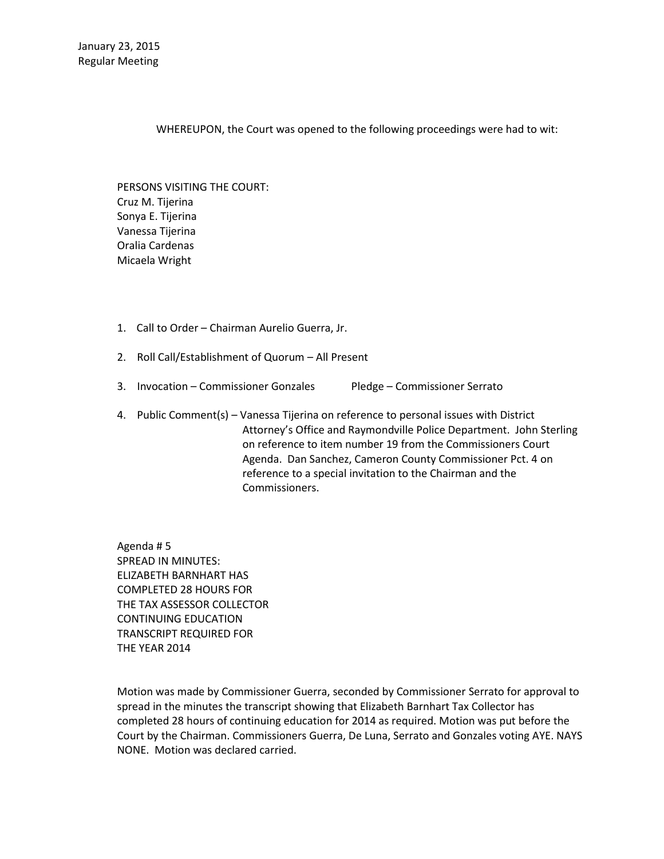WHEREUPON, the Court was opened to the following proceedings were had to wit:

PERSONS VISITING THE COURT: Cruz M. Tijerina Sonya E. Tijerina Vanessa Tijerina Oralia Cardenas Micaela Wright

- 1. Call to Order Chairman Aurelio Guerra, Jr.
- 2. Roll Call/Establishment of Quorum All Present
- 3. Invocation Commissioner Gonzales Pledge Commissioner Serrato
- 4. Public Comment(s) Vanessa Tijerina on reference to personal issues with District Attorney's Office and Raymondville Police Department. John Sterling on reference to item number 19 from the Commissioners Court Agenda. Dan Sanchez, Cameron County Commissioner Pct. 4 on reference to a special invitation to the Chairman and the Commissioners.

Agenda # 5 SPREAD IN MINUTES: ELIZABETH BARNHART HAS COMPLETED 28 HOURS FOR THE TAX ASSESSOR COLLECTOR CONTINUING EDUCATION TRANSCRIPT REQUIRED FOR THE YEAR 2014

Motion was made by Commissioner Guerra, seconded by Commissioner Serrato for approval to spread in the minutes the transcript showing that Elizabeth Barnhart Tax Collector has completed 28 hours of continuing education for 2014 as required. Motion was put before the Court by the Chairman. Commissioners Guerra, De Luna, Serrato and Gonzales voting AYE. NAYS NONE. Motion was declared carried.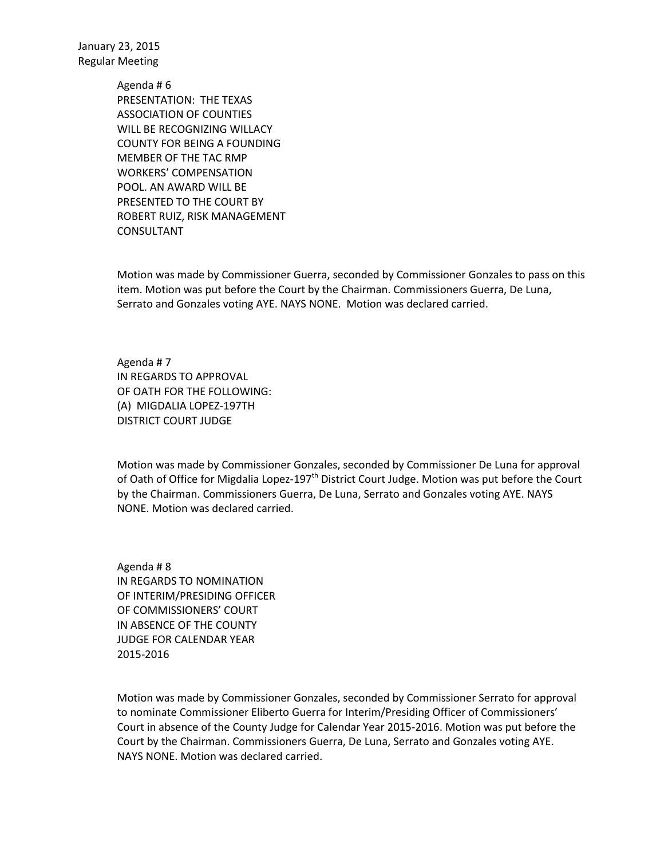> Agenda # 6 PRESENTATION: THE TEXAS ASSOCIATION OF COUNTIES WILL BE RECOGNIZING WILLACY COUNTY FOR BEING A FOUNDING MEMBER OF THE TAC RMP WORKERS' COMPENSATION POOL. AN AWARD WILL BE PRESENTED TO THE COURT BY ROBERT RUIZ, RISK MANAGEMENT CONSULTANT

Motion was made by Commissioner Guerra, seconded by Commissioner Gonzales to pass on this item. Motion was put before the Court by the Chairman. Commissioners Guerra, De Luna, Serrato and Gonzales voting AYE. NAYS NONE. Motion was declared carried.

Agenda # 7 IN REGARDS TO APPROVAL OF OATH FOR THE FOLLOWING: (A) MIGDALIA LOPEZ-197TH DISTRICT COURT JUDGE

Motion was made by Commissioner Gonzales, seconded by Commissioner De Luna for approval of Oath of Office for Migdalia Lopez-197<sup>th</sup> District Court Judge. Motion was put before the Court by the Chairman. Commissioners Guerra, De Luna, Serrato and Gonzales voting AYE. NAYS NONE. Motion was declared carried.

Agenda # 8 IN REGARDS TO NOMINATION OF INTERIM/PRESIDING OFFICER OF COMMISSIONERS' COURT IN ABSENCE OF THE COUNTY JUDGE FOR CALENDAR YEAR 2015-2016

Motion was made by Commissioner Gonzales, seconded by Commissioner Serrato for approval to nominate Commissioner Eliberto Guerra for Interim/Presiding Officer of Commissioners' Court in absence of the County Judge for Calendar Year 2015-2016. Motion was put before the Court by the Chairman. Commissioners Guerra, De Luna, Serrato and Gonzales voting AYE. NAYS NONE. Motion was declared carried.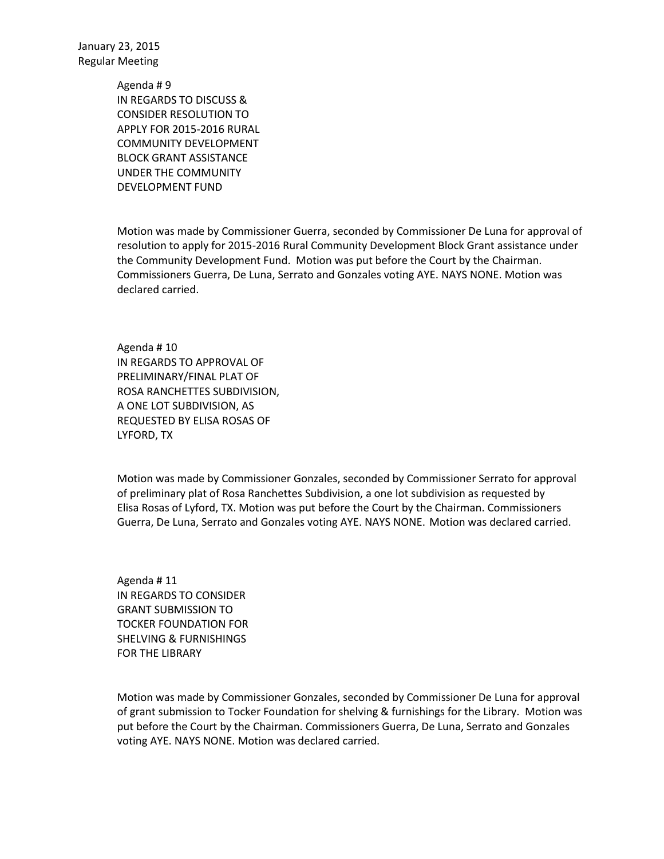> Agenda # 9 IN REGARDS TO DISCUSS & CONSIDER RESOLUTION TO APPLY FOR 2015-2016 RURAL COMMUNITY DEVELOPMENT BLOCK GRANT ASSISTANCE UNDER THE COMMUNITY DEVELOPMENT FUND

Motion was made by Commissioner Guerra, seconded by Commissioner De Luna for approval of resolution to apply for 2015-2016 Rural Community Development Block Grant assistance under the Community Development Fund. Motion was put before the Court by the Chairman. Commissioners Guerra, De Luna, Serrato and Gonzales voting AYE. NAYS NONE. Motion was declared carried.

Agenda # 10 IN REGARDS TO APPROVAL OF PRELIMINARY/FINAL PLAT OF ROSA RANCHETTES SUBDIVISION, A ONE LOT SUBDIVISION, AS REQUESTED BY ELISA ROSAS OF LYFORD, TX

Motion was made by Commissioner Gonzales, seconded by Commissioner Serrato for approval of preliminary plat of Rosa Ranchettes Subdivision, a one lot subdivision as requested by Elisa Rosas of Lyford, TX. Motion was put before the Court by the Chairman. Commissioners Guerra, De Luna, Serrato and Gonzales voting AYE. NAYS NONE. Motion was declared carried.

Agenda # 11 IN REGARDS TO CONSIDER GRANT SUBMISSION TO TOCKER FOUNDATION FOR SHELVING & FURNISHINGS FOR THE LIBRARY

Motion was made by Commissioner Gonzales, seconded by Commissioner De Luna for approval of grant submission to Tocker Foundation for shelving & furnishings for the Library. Motion was put before the Court by the Chairman. Commissioners Guerra, De Luna, Serrato and Gonzales voting AYE. NAYS NONE. Motion was declared carried.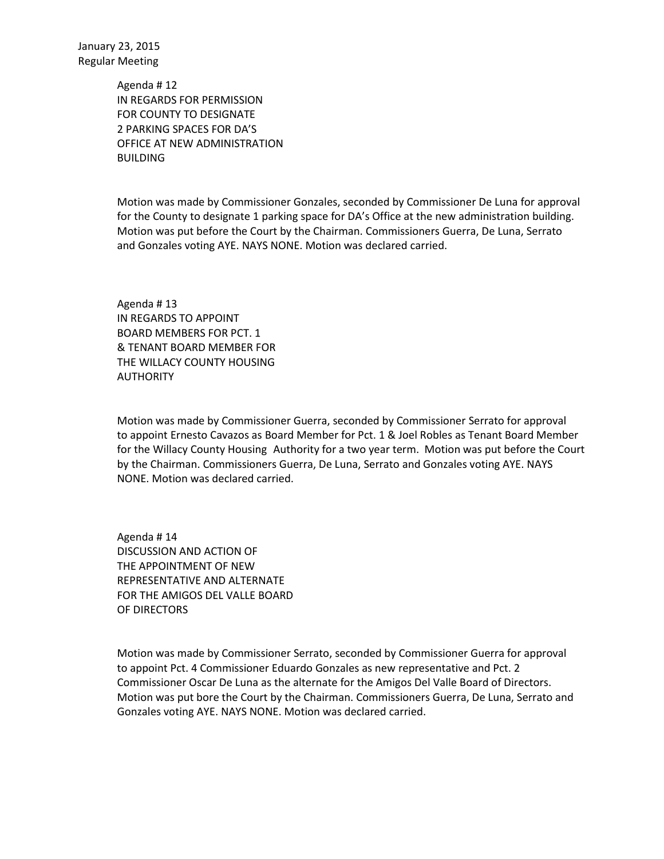> Agenda # 12 IN REGARDS FOR PERMISSION FOR COUNTY TO DESIGNATE 2 PARKING SPACES FOR DA'S OFFICE AT NEW ADMINISTRATION **BUILDING**

Motion was made by Commissioner Gonzales, seconded by Commissioner De Luna for approval for the County to designate 1 parking space for DA's Office at the new administration building. Motion was put before the Court by the Chairman. Commissioners Guerra, De Luna, Serrato and Gonzales voting AYE. NAYS NONE. Motion was declared carried.

Agenda # 13 IN REGARDS TO APPOINT BOARD MEMBERS FOR PCT. 1 & TENANT BOARD MEMBER FOR THE WILLACY COUNTY HOUSING AUTHORITY

Motion was made by Commissioner Guerra, seconded by Commissioner Serrato for approval to appoint Ernesto Cavazos as Board Member for Pct. 1 & Joel Robles as Tenant Board Member for the Willacy County Housing Authority for a two year term. Motion was put before the Court by the Chairman. Commissioners Guerra, De Luna, Serrato and Gonzales voting AYE. NAYS NONE. Motion was declared carried.

Agenda # 14 DISCUSSION AND ACTION OF THE APPOINTMENT OF NEW REPRESENTATIVE AND ALTERNATE FOR THE AMIGOS DEL VALLE BOARD OF DIRECTORS

Motion was made by Commissioner Serrato, seconded by Commissioner Guerra for approval to appoint Pct. 4 Commissioner Eduardo Gonzales as new representative and Pct. 2 Commissioner Oscar De Luna as the alternate for the Amigos Del Valle Board of Directors. Motion was put bore the Court by the Chairman. Commissioners Guerra, De Luna, Serrato and Gonzales voting AYE. NAYS NONE. Motion was declared carried.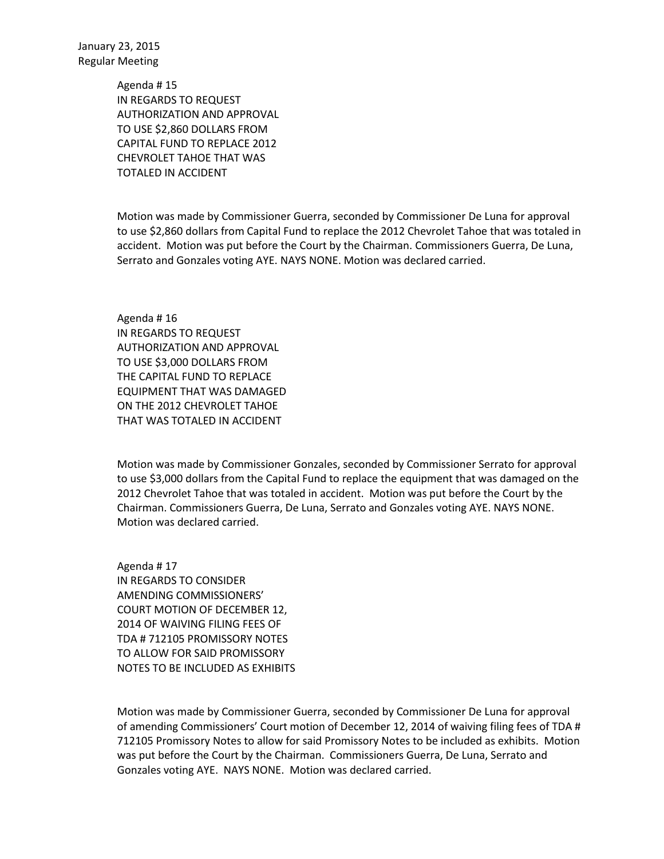> Agenda # 15 IN REGARDS TO REQUEST AUTHORIZATION AND APPROVAL TO USE \$2,860 DOLLARS FROM CAPITAL FUND TO REPLACE 2012 CHEVROLET TAHOE THAT WAS TOTALED IN ACCIDENT

Motion was made by Commissioner Guerra, seconded by Commissioner De Luna for approval to use \$2,860 dollars from Capital Fund to replace the 2012 Chevrolet Tahoe that was totaled in accident. Motion was put before the Court by the Chairman. Commissioners Guerra, De Luna, Serrato and Gonzales voting AYE. NAYS NONE. Motion was declared carried.

Agenda # 16 IN REGARDS TO REQUEST AUTHORIZATION AND APPROVAL TO USE \$3,000 DOLLARS FROM THE CAPITAL FUND TO REPLACE EQUIPMENT THAT WAS DAMAGED ON THE 2012 CHEVROLET TAHOE THAT WAS TOTALED IN ACCIDENT

Motion was made by Commissioner Gonzales, seconded by Commissioner Serrato for approval to use \$3,000 dollars from the Capital Fund to replace the equipment that was damaged on the 2012 Chevrolet Tahoe that was totaled in accident. Motion was put before the Court by the Chairman. Commissioners Guerra, De Luna, Serrato and Gonzales voting AYE. NAYS NONE. Motion was declared carried.

Agenda # 17 IN REGARDS TO CONSIDER AMENDING COMMISSIONERS' COURT MOTION OF DECEMBER 12, 2014 OF WAIVING FILING FEES OF TDA # 712105 PROMISSORY NOTES TO ALLOW FOR SAID PROMISSORY NOTES TO BE INCLUDED AS EXHIBITS

Motion was made by Commissioner Guerra, seconded by Commissioner De Luna for approval of amending Commissioners' Court motion of December 12, 2014 of waiving filing fees of TDA # 712105 Promissory Notes to allow for said Promissory Notes to be included as exhibits. Motion was put before the Court by the Chairman. Commissioners Guerra, De Luna, Serrato and Gonzales voting AYE. NAYS NONE. Motion was declared carried.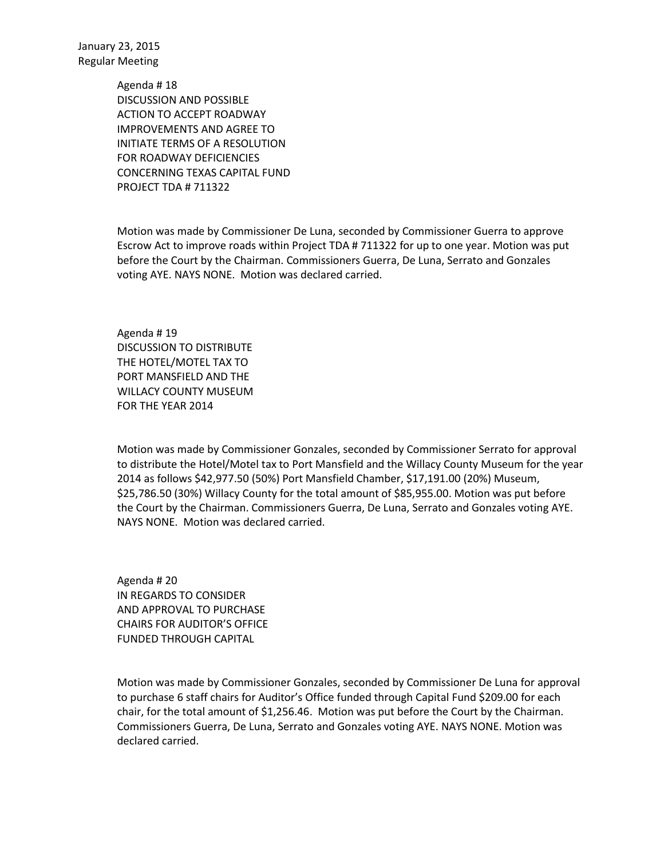> Agenda # 18 DISCUSSION AND POSSIBLE ACTION TO ACCEPT ROADWAY IMPROVEMENTS AND AGREE TO INITIATE TERMS OF A RESOLUTION FOR ROADWAY DEFICIENCIES CONCERNING TEXAS CAPITAL FUND PROJECT TDA # 711322

Motion was made by Commissioner De Luna, seconded by Commissioner Guerra to approve Escrow Act to improve roads within Project TDA # 711322 for up to one year. Motion was put before the Court by the Chairman. Commissioners Guerra, De Luna, Serrato and Gonzales voting AYE. NAYS NONE. Motion was declared carried.

Agenda # 19 DISCUSSION TO DISTRIBUTE THE HOTEL/MOTEL TAX TO PORT MANSFIELD AND THE WILLACY COUNTY MUSEUM FOR THE YEAR 2014

Motion was made by Commissioner Gonzales, seconded by Commissioner Serrato for approval to distribute the Hotel/Motel tax to Port Mansfield and the Willacy County Museum for the year 2014 as follows \$42,977.50 (50%) Port Mansfield Chamber, \$17,191.00 (20%) Museum, \$25,786.50 (30%) Willacy County for the total amount of \$85,955.00. Motion was put before the Court by the Chairman. Commissioners Guerra, De Luna, Serrato and Gonzales voting AYE. NAYS NONE. Motion was declared carried.

Agenda # 20 IN REGARDS TO CONSIDER AND APPROVAL TO PURCHASE CHAIRS FOR AUDITOR'S OFFICE FUNDED THROUGH CAPITAL

Motion was made by Commissioner Gonzales, seconded by Commissioner De Luna for approval to purchase 6 staff chairs for Auditor's Office funded through Capital Fund \$209.00 for each chair, for the total amount of \$1,256.46. Motion was put before the Court by the Chairman. Commissioners Guerra, De Luna, Serrato and Gonzales voting AYE. NAYS NONE. Motion was declared carried.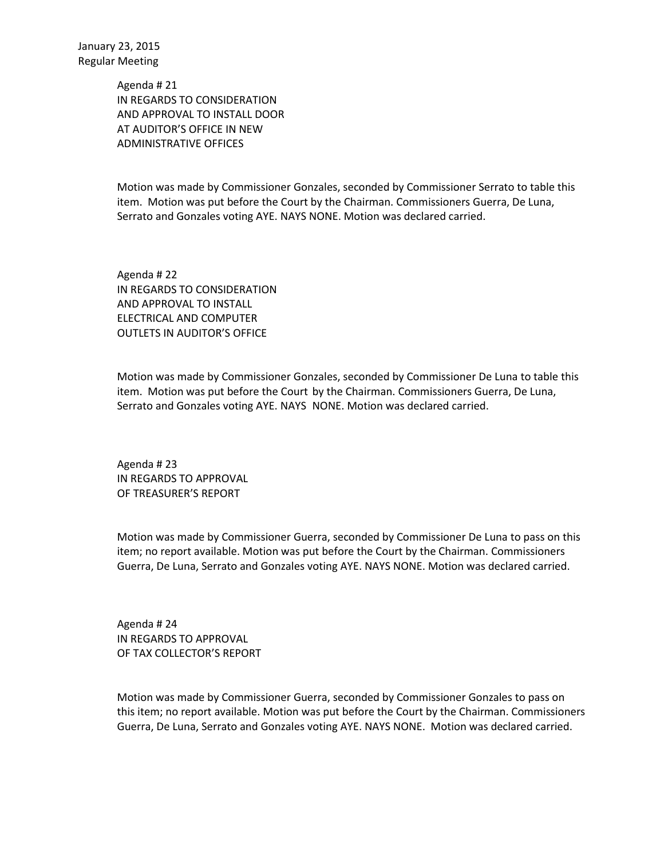> Agenda # 21 IN REGARDS TO CONSIDERATION AND APPROVAL TO INSTALL DOOR AT AUDITOR'S OFFICE IN NEW ADMINISTRATIVE OFFICES

Motion was made by Commissioner Gonzales, seconded by Commissioner Serrato to table this item. Motion was put before the Court by the Chairman. Commissioners Guerra, De Luna, Serrato and Gonzales voting AYE. NAYS NONE. Motion was declared carried.

Agenda # 22 IN REGARDS TO CONSIDERATION AND APPROVAL TO INSTALL ELECTRICAL AND COMPUTER OUTLETS IN AUDITOR'S OFFICE

Motion was made by Commissioner Gonzales, seconded by Commissioner De Luna to table this item. Motion was put before the Court by the Chairman. Commissioners Guerra, De Luna, Serrato and Gonzales voting AYE. NAYS NONE. Motion was declared carried.

Agenda # 23 IN REGARDS TO APPROVAL OF TREASURER'S REPORT

Motion was made by Commissioner Guerra, seconded by Commissioner De Luna to pass on this item; no report available. Motion was put before the Court by the Chairman. Commissioners Guerra, De Luna, Serrato and Gonzales voting AYE. NAYS NONE. Motion was declared carried.

Agenda # 24 IN REGARDS TO APPROVAL OF TAX COLLECTOR'S REPORT

Motion was made by Commissioner Guerra, seconded by Commissioner Gonzales to pass on this item; no report available. Motion was put before the Court by the Chairman. Commissioners Guerra, De Luna, Serrato and Gonzales voting AYE. NAYS NONE. Motion was declared carried.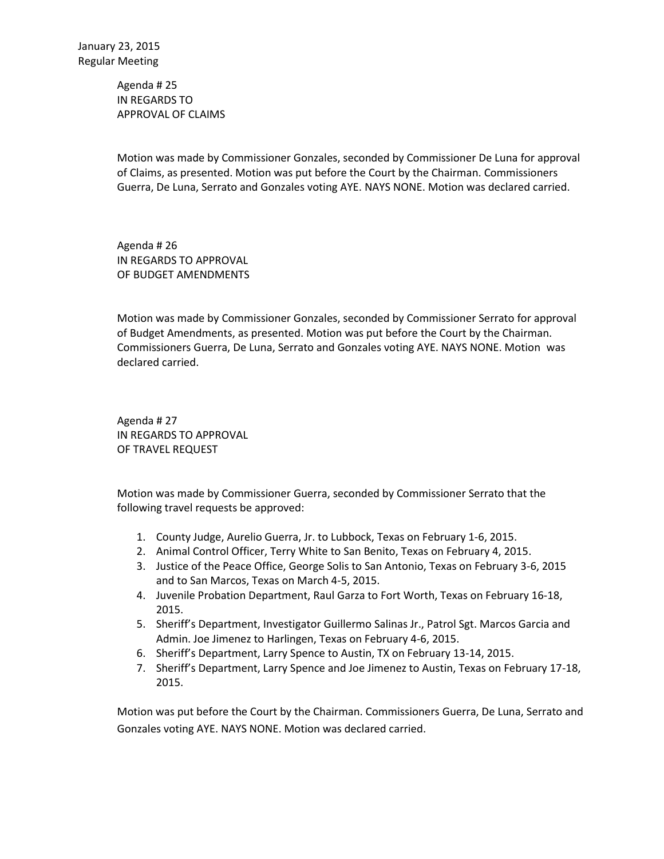Agenda # 25 IN REGARDS TO APPROVAL OF CLAIMS

Motion was made by Commissioner Gonzales, seconded by Commissioner De Luna for approval of Claims, as presented. Motion was put before the Court by the Chairman. Commissioners Guerra, De Luna, Serrato and Gonzales voting AYE. NAYS NONE. Motion was declared carried.

Agenda # 26 IN REGARDS TO APPROVAL OF BUDGET AMENDMENTS

Motion was made by Commissioner Gonzales, seconded by Commissioner Serrato for approval of Budget Amendments, as presented. Motion was put before the Court by the Chairman. Commissioners Guerra, De Luna, Serrato and Gonzales voting AYE. NAYS NONE. Motion was declared carried.

Agenda # 27 IN REGARDS TO APPROVAL OF TRAVEL REQUEST

Motion was made by Commissioner Guerra, seconded by Commissioner Serrato that the following travel requests be approved:

- 1. County Judge, Aurelio Guerra, Jr. to Lubbock, Texas on February 1-6, 2015.
- 2. Animal Control Officer, Terry White to San Benito, Texas on February 4, 2015.
- 3. Justice of the Peace Office, George Solis to San Antonio, Texas on February 3-6, 2015 and to San Marcos, Texas on March 4-5, 2015.
- 4. Juvenile Probation Department, Raul Garza to Fort Worth, Texas on February 16-18, 2015.
- 5. Sheriff's Department, Investigator Guillermo Salinas Jr., Patrol Sgt. Marcos Garcia and Admin. Joe Jimenez to Harlingen, Texas on February 4-6, 2015.
- 6. Sheriff's Department, Larry Spence to Austin, TX on February 13-14, 2015.
- 7. Sheriff's Department, Larry Spence and Joe Jimenez to Austin, Texas on February 17-18, 2015.

Motion was put before the Court by the Chairman. Commissioners Guerra, De Luna, Serrato and Gonzales voting AYE. NAYS NONE. Motion was declared carried.